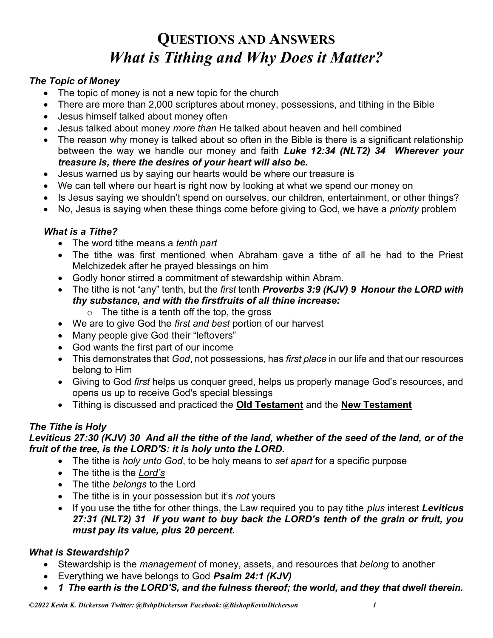## The Topic of Money

- The topic of money is not a new topic for the church
- There are more than 2,000 scriptures about money, possessions, and tithing in the Bible
- Jesus himself talked about money often
- Jesus talked about money more than He talked about heaven and hell combined
- The reason why money is talked about so often in the Bible is there is a significant relationship between the way we handle our money and faith Luke 12:34 (NLT2) 34 Wherever your treasure is, there the desires of your heart will also be.
- Jesus warned us by saying our hearts would be where our treasure is
- We can tell where our heart is right now by looking at what we spend our money on
- Is Jesus saying we shouldn't spend on ourselves, our children, entertainment, or other things?
- No, Jesus is saying when these things come before giving to God, we have a *priority* problem

## What is a Tithe?

- The word tithe means a tenth part
- The tithe was first mentioned when Abraham gave a tithe of all he had to the Priest Melchizedek after he prayed blessings on him
- Godly honor stirred a commitment of stewardship within Abram.
- The tithe is not "any" tenth, but the first tenth Proverbs 3:9 (KJV) 9 Honour the LORD with thy substance, and with the firstfruits of all thine increase:
	- $\circ$  The tithe is a tenth off the top, the gross
- We are to give God the first and best portion of our harvest
- Many people give God their "leftovers"
- God wants the first part of our income
- This demonstrates that God, not possessions, has first place in our life and that our resources belong to Him
- Giving to God first helps us conquer greed, helps us properly manage God's resources, and opens us up to receive God's special blessings
- Tithing is discussed and practiced the Old Testament and the New Testament

# The Tithe is Holy

## Leviticus 27:30 (KJV) 30 And all the tithe of the land, whether of the seed of the land, or of the fruit of the tree, is the LORD'S: it is holy unto the LORD.

- The tithe is *holy unto God*, to be holy means to set apart for a specific purpose
- The tithe is the Lord's
- The tithe belongs to the Lord
- The tithe is in your possession but it's not yours
- If you use the tithe for other things, the Law required you to pay tithe *plus* interest Leviticus 27:31 (NLT2) 31 If you want to buy back the LORD's tenth of the grain or fruit, you must pay its value, plus 20 percent.

## What is Stewardship?

- Stewardship is the *management* of money, assets, and resources that belong to another
- Everything we have belongs to God  $P$ salm 24:1 (KJV)
- 1 The earth is the LORD'S, and the fulness thereof; the world, and they that dwell therein.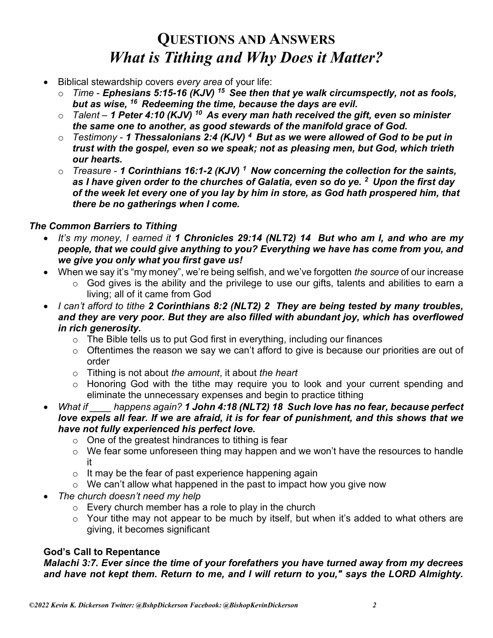- Biblical stewardship covers every area of your life:
	- $\circ$  Time Ephesians 5:15-16 (KJV)<sup>15</sup> See then that ye walk circumspectly, not as fools, but as wise,  $16$  Redeeming the time, because the days are evil.
	- $\circ$  Talent 1 Peter 4:10 (KJV)<sup>10</sup> As every man hath received the gift, even so minister the same one to another, as good stewards of the manifold grace of God.
	- $\circ$  Testimony 1 Thessalonians 2:4 (KJV)<sup>4</sup> But as we were allowed of God to be put in trust with the gospel, even so we speak; not as pleasing men, but God, which trieth our hearts.
	- $\circ$  Treasure 1 Corinthians 16:1-2 (KJV)<sup>1</sup> Now concerning the collection for the saints, as I have given order to the churches of Galatia, even so do ye.  $<sup>2</sup>$  Upon the first day</sup> of the week let every one of you lay by him in store, as God hath prospered him, that there be no gatherings when I come.

## The Common Barriers to Tithing

- It's my money, I earned it 1 Chronicles 29:14 (NLT2) 14 But who am I, and who are my people, that we could give anything to you? Everything we have has come from you, and we give you only what you first gave us!
- When we say it's "my money", we're being selfish, and we've forgotten the source of our increase
	- o God gives is the ability and the privilege to use our gifts, talents and abilities to earn a living; all of it came from God
- I can't afford to tithe 2 Corinthians 8:2 (NLT2) 2 They are being tested by many troubles, and they are very poor. But they are also filled with abundant joy, which has overflowed in rich generosity.
	- $\circ$  The Bible tells us to put God first in everything, including our finances
	- $\circ$  Oftentimes the reason we say we can't afford to give is because our priorities are out of order
	- $\circ$  Tithing is not about the amount, it about the heart
	- o Honoring God with the tithe may require you to look and your current spending and eliminate the unnecessary expenses and begin to practice tithing
- What if happens again? 1 John 4:18 (NLT2) 18 Such love has no fear, because perfect love expels all fear. If we are afraid, it is for fear of punishment, and this shows that we have not fully experienced his perfect love.
	- $\circ$  One of the greatest hindrances to tithing is fear
	- o We fear some unforeseen thing may happen and we won't have the resources to handle it
	- $\circ$  It may be the fear of past experience happening again
	- $\circ$  We can't allow what happened in the past to impact how you give now
- The church doesn't need my help
	- $\circ$  Every church member has a role to play in the church
	- $\circ$  Your tithe may not appear to be much by itself, but when it's added to what others are giving, it becomes significant

#### God's Call to Repentance

#### Malachi 3:7. Ever since the time of your forefathers you have turned away from my decrees and have not kept them. Return to me, and I will return to you," says the LORD Almighty.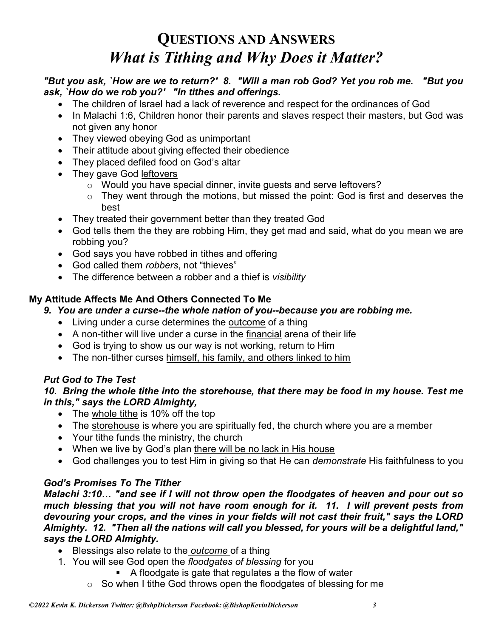## "But you ask, `How are we to return?' 8. "Will a man rob God? Yet you rob me. "But you ask, `How do we rob you?' "In tithes and offerings.

- The children of Israel had a lack of reverence and respect for the ordinances of God
- In Malachi 1:6, Children honor their parents and slaves respect their masters, but God was not given any honor
- They viewed obeying God as unimportant
- Their attitude about giving effected their obedience
- They placed defiled food on God's altar
- They gave God leftovers
	- o Would you have special dinner, invite guests and serve leftovers?
	- $\circ$  They went through the motions, but missed the point: God is first and deserves the best
- They treated their government better than they treated God
- God tells them the they are robbing Him, they get mad and said, what do you mean we are robbing you?
- God says you have robbed in tithes and offering
- God called them robbers, not "thieves"
- The difference between a robber and a thief is visibility

# My Attitude Affects Me And Others Connected To Me

- 9. You are under a curse--the whole nation of you--because you are robbing me.
	- Living under a curse determines the outcome of a thing
	- A non-tither will live under a curse in the financial arena of their life
	- God is trying to show us our way is not working, return to Him
	- The non-tither curses himself, his family, and others linked to him

# Put God to The Test

## 10. Bring the whole tithe into the storehouse, that there may be food in my house. Test me in this," says the LORD Almighty,

- The whole tithe is 10% off the top
- The storehouse is where you are spiritually fed, the church where you are a member
- Your tithe funds the ministry, the church
- When we live by God's plan there will be no lack in His house
- God challenges you to test Him in giving so that He can *demonstrate* His faithfulness to you

# God's Promises To The Tither

Malachi 3:10… "and see if I will not throw open the floodgates of heaven and pour out so much blessing that you will not have room enough for it. 11. I will prevent pests from devouring your crops, and the vines in your fields will not cast their fruit," says the LORD Almighty. 12. "Then all the nations will call you blessed, for yours will be a delightful land," says the LORD Almighty.

- Blessings also relate to the *outcome* of a thing
- 1. You will see God open the floodgates of blessing for you
	- A floodgate is gate that regulates a the flow of water
	- $\circ$  So when I tithe God throws open the floodgates of blessing for me